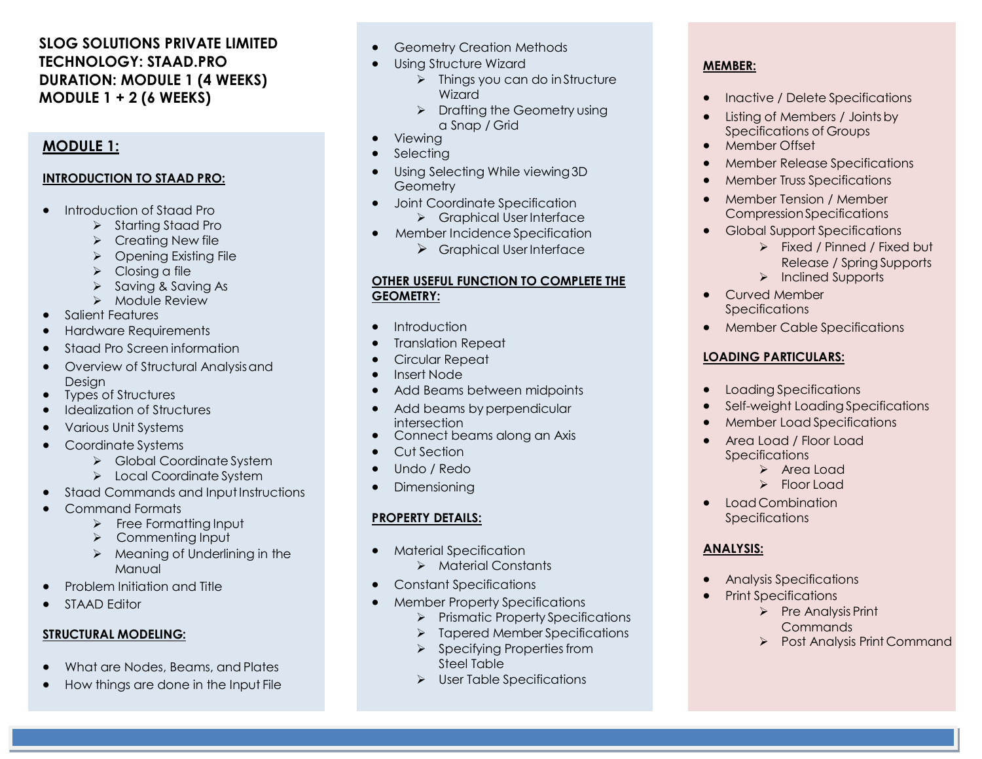# **SLOG SOLUTIONS PRIVATE LIMITED TECHNOLOGY: STAAD.PRO DURATION: MODULE 1 (4 WEEKS) MODULE 1 + 2 (6 WEEKS)**

## **MODULE 1:**

#### **INTRODUCTION TO STAAD PRO:**

- Introduction of Staad Pro
	- $\triangleright$  Starting Staad Pro
	- $\triangleright$  Creating New file
	- > Opening Existing File
	- $\triangleright$  Closing a file
	- $\triangleright$  Saving & Saving As
	- > Module Review
- Salient Features
- Hardware Requirements
- Staad Pro Screen information
- Overview of Structural Analysisand Design
- Types of Structures
- Idealization of Structures
- Various Unit Systems
- Coordinate Systems
	- State Global Coordinate System
	- > Local Coordinate System
- Staad Commands and Input Instructions
- Command Formats
	- $\triangleright$  Free Formatting Input
	- > Commenting Input
	- $\triangleright$  Meaning of Underlining in the Manual
- Problem Initiation and Title
- STAAD Editor

## **STRUCTURAL MODELING:**

- What are Nodes, Beams, and Plates
- How things are done in the Input File
- **•** Geometry Creation Methods
- Using Structure Wizard
	- $\triangleright$  Things you can do in Structure Wizard
	- $\triangleright$  Drafting the Geometry using a Snap / Grid
- Viewing
- Selecting
- Using Selecting While viewing3D **Geometry**
- Joint Coordinate Specification Graphical User Interface
- Member Incidence Specification
	- $\triangleright$  Graphical User Interface

#### **OTHER USEFUL FUNCTION TO COMPLETE THE GEOMETRY:**

- Introduction
- Translation Repeat
- Circular Repeat
- Insert Node
- Add Beams between midpoints
- Add beams by perpendicular intersection
- Connect beams along an Axis
- Cut Section
- Undo / Redo
- Dimensioning

## **PROPERTY DETAILS:**

- **•** Material Specification
	- > Material Constants
- Constant Specifications
- Member Property Specifications
	- $\triangleright$  Prismatic Property Specifications
	- > Tapered Member Specifications
	- $\triangleright$  Specifying Properties from Steel Table
	- > User Table Specifications

# **MEMBER:**

- Inactive / Delete Specifications
- Listing of Members / Joints by Specifications of Groups
- Member Offset
- **•** Member Release Specifications
- Member Truss Specifications
- Member Tension / Member Compression Specifications
- **•** Global Support Specifications
	- Fixed / Pinned / Fixed but Release / Spring Supports
		- $\triangleright$  Inclined Supports
- Curved Member **Specifications**
- Member Cable Specifications

# **LOADING PARTICULARS:**

- Loading Specifications
- Self-weight Loading Specifications
- Member Load Specifications
- Area Load / Floor Load **Specifications** 
	- > Area Load > Floor Load
- Load Combination
- **Specifications**

## **ANALYSIS:**

- Analysis Specifications
- Print Specifications
	- $\triangleright$  Pre Analysis Print **Commands**
	- Post Analysis Print Command